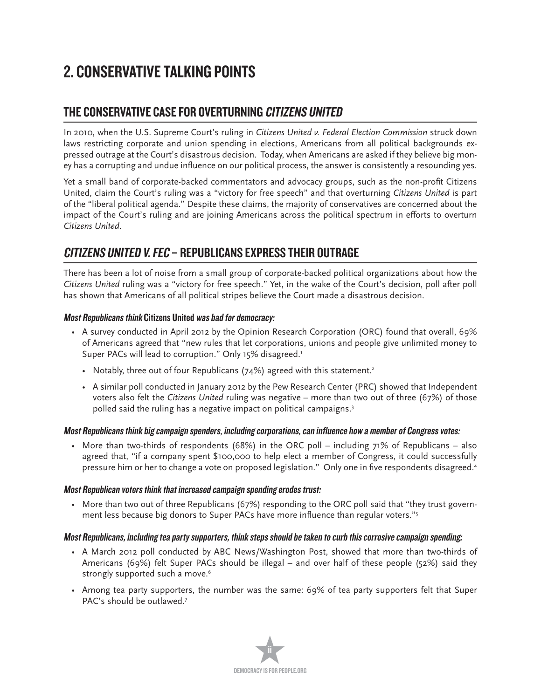# 2. CONSERVATIVE TALKING POINTS

### THE CONSERVATIVE CASE FOR OVERTURNING CITIZENS UNITED

In 2010, when the U.S. Supreme Court's ruling in *Citizens United v. Federal Election Commission* struck down laws restricting corporate and union spending in elections, Americans from all political backgrounds expressed outrage at the Court's disastrous decision. Today, when Americans are asked if they believe big money has a corrupting and undue influence on our political process, the answer is consistently a resounding yes.

Yet a small band of corporate-backed commentators and advocacy groups, such as the non-profit Citizens United, claim the Court's ruling was a "victory for free speech" and that overturning *Citizens United* is part of the "liberal political agenda." Despite these claims, the majority of conservatives are concerned about the impact of the Court's ruling and are joining Americans across the political spectrum in efforts to overturn *Citizens United*.

### CITIZENS UNITED V. FEC – REPUBLICANS EXPRESS THEIR OUTRAGE

There has been a lot of noise from a small group of corporate-backed political organizations about how the *Citizens United* ruling was a "victory for free speech." Yet, in the wake of the Court's decision, poll after poll has shown that Americans of all political stripes believe the Court made a disastrous decision.

### Most Republicans think Citizens United was bad for democracy:

- $\,$  A survey conducted in April 2012 by the Opinion Research Corporation (ORC) found that overall, 69%  $\,$ of Americans agreed that "new rules that let corporations, unions and people give unlimited money to Super PACs will lead to corruption." Only 15% disagreed.'
	- Notably, three out of four Republicans (74%) agreed with this statement.<sup>2</sup>
	- A similar poll conducted in January 2012 by the Pew Research Center (PRC) showed that Independent voters also felt the *Citizens United* ruling was negative – more than two out of three (67%) of those polled said the ruling has a negative impact on political campaigns.3

### Most Republicans think big campaign spenders, including corporations, can influence how a member of Congress votes:

• More than two-thirds of respondents (68%) in the ORC poll – including 71% of Republicans – also agreed that, "if a company spent \$100,000 to help elect a member of Congress, it could successfully pressure him or her to change a vote on proposed legislation." Only one in five respondents disagreed.4

### Most Republican voters think that increased campaign spending erodes trust:

 $\bullet$  More than two out of three Republicans (67%) responding to the ORC poll said that "they trust government less because big donors to Super PACs have more influence than regular voters."

### Most Republicans, including tea party supporters, think steps should be taken to curb this corrosive campaign spending:

- A March 2012 poll conducted by ABC News/Washington Post, showed that more than two-thirds of Americans (69%) felt Super PACs should be illegal – and over half of these people (52%) said they strongly supported such a move.<sup>6</sup>
- Among tea party supporters, the number was the same: 69% of tea party supporters felt that Super PAC's should be outlawed.<sup>7</sup>

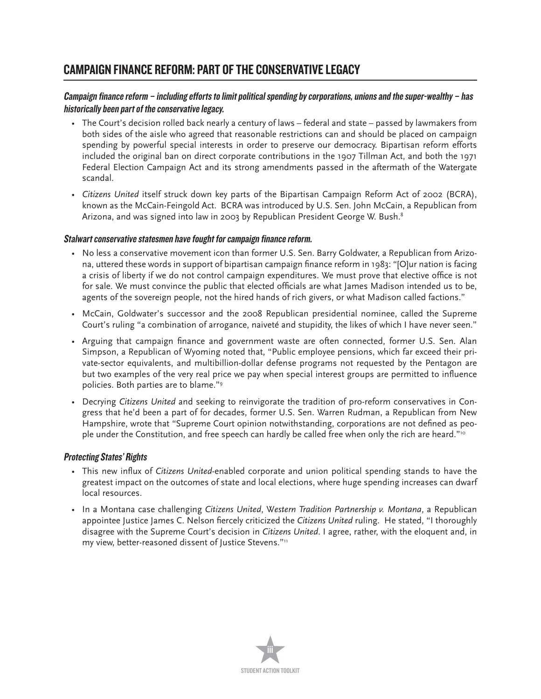### CAMPAIGN FINANCE REFORM: PART OF THE CONSERVATIVE LEGACY

### Campaign finance reform – including efforts to limit political spending by corporations, unions and the super-wealthy – has historically been part of the conservative legacy.

- The Court's decision rolled back nearly a century of laws federal and state passed by lawmakers from both sides of the aisle who agreed that reasonable restrictions can and should be placed on campaign spending by powerful special interests in order to preserve our democracy. Bipartisan reform efforts included the original ban on direct corporate contributions in the 1907 Tillman Act, and both the 1971 Federal Election Campaign Act and its strong amendments passed in the aftermath of the Watergate scandal.
- t *Citizens United* itself struck down key parts of the Bipartisan Campaign Reform Act of 2002 (BCRA), known as the McCain-Feingold Act. BCRA was introduced by U.S. Sen. John McCain, a Republican from Arizona, and was signed into law in 2003 by Republican President George W. Bush.<sup>8</sup>

### Stalwart conservative statesmen have fought for campaign finance reform.

- $\bullet$  No less a conservative movement icon than former U.S. Sen. Barry Goldwater, a Republican from Arizona, uttered these words in support of bipartisan campaign finance reform in 1983: "[O]ur nation is facing a crisis of liberty if we do not control campaign expenditures. We must prove that elective office is not for sale. We must convince the public that elected officials are what James Madison intended us to be, agents of the sovereign people, not the hired hands of rich givers, or what Madison called factions."
- McCain, Goldwater's successor and the 2008 Republican presidential nominee, called the Supreme Court's ruling "a combination of arrogance, naiveté and stupidity, the likes of which I have never seen."
- Arguing that campaign finance and government waste are often connected, former U.S. Sen. Alan Simpson, a Republican of Wyoming noted that, "Public employee pensions, which far exceed their private-sector equivalents, and multibillion-dollar defense programs not requested by the Pentagon are but two examples of the very real price we pay when special interest groups are permitted to influence policies. Both parties are to blame."9
- **•** Decrying Citizens United and seeking to reinvigorate the tradition of pro-reform conservatives in Congress that he'd been a part of for decades, former U.S. Sen. Warren Rudman, a Republican from New Hampshire, wrote that "Supreme Court opinion notwithstanding, corporations are not defined as people under the Constitution, and free speech can hardly be called free when only the rich are heard."<sup>10</sup>

### Protecting States' Rights

- This new influx of Citizens United-enabled corporate and union political spending stands to have the greatest impact on the outcomes of state and local elections, where huge spending increases can dwarf local resources.
- **•** In a Montana case challenging Citizens United, Western Tradition Partnership v. Montana, a Republican appointee Justice James C. Nelson fiercely criticized the Citizens United ruling. He stated, "I thoroughly disagree with the Supreme Court's decision in *Citizens United*. I agree, rather, with the eloquent and, in my view, better-reasoned dissent of Justice Stevens."11